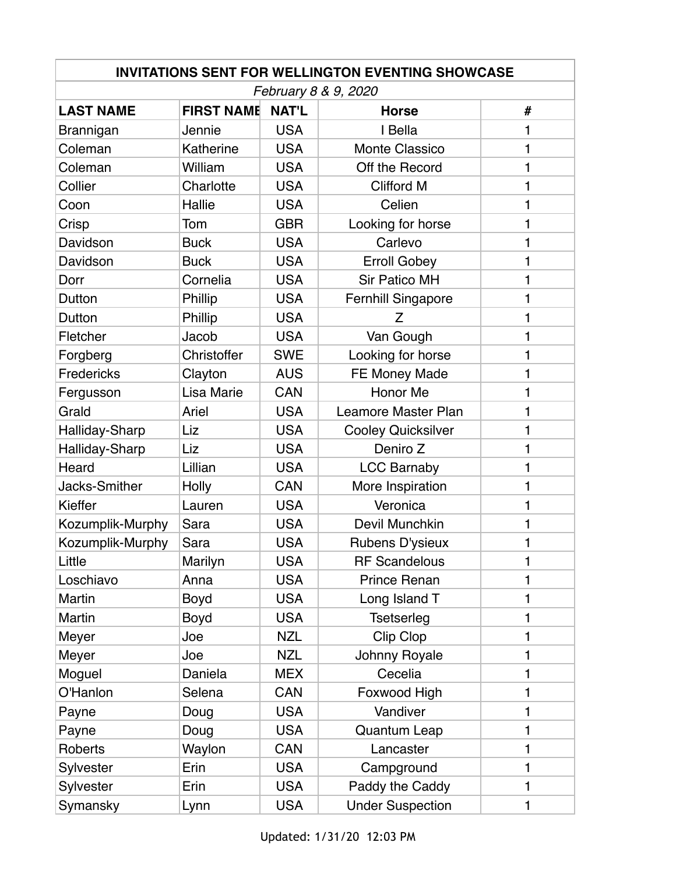| <b>INVITATIONS SENT FOR WELLINGTON EVENTING SHOWCASE</b> |                   |              |                            |   |  |  |  |
|----------------------------------------------------------|-------------------|--------------|----------------------------|---|--|--|--|
| February 8 & 9, 2020                                     |                   |              |                            |   |  |  |  |
| <b>LAST NAME</b>                                         | <b>FIRST NAME</b> | <b>NAT'L</b> | <b>Horse</b>               | # |  |  |  |
| Brannigan                                                | Jennie            | <b>USA</b>   | I Bella                    | 1 |  |  |  |
| Coleman                                                  | Katherine         | <b>USA</b>   | Monte Classico             | 1 |  |  |  |
| Coleman                                                  | William           | <b>USA</b>   | Off the Record             | 1 |  |  |  |
| Collier                                                  | Charlotte         | <b>USA</b>   | <b>Clifford M</b>          | 1 |  |  |  |
| Coon                                                     | Hallie            | <b>USA</b>   | Celien                     | 1 |  |  |  |
| Crisp                                                    | Tom               | <b>GBR</b>   | Looking for horse          | 1 |  |  |  |
| Davidson                                                 | <b>Buck</b>       | <b>USA</b>   | Carlevo                    | 1 |  |  |  |
| Davidson                                                 | <b>Buck</b>       | <b>USA</b>   | <b>Erroll Gobey</b>        | 1 |  |  |  |
| Dorr                                                     | Cornelia          | <b>USA</b>   | <b>Sir Patico MH</b>       | 1 |  |  |  |
| Dutton                                                   | Phillip           | <b>USA</b>   | <b>Fernhill Singapore</b>  | 1 |  |  |  |
| Dutton                                                   | Phillip           | <b>USA</b>   | Z                          | 1 |  |  |  |
| Fletcher                                                 | Jacob             | <b>USA</b>   | Van Gough                  | 1 |  |  |  |
| Forgberg                                                 | Christoffer       | <b>SWE</b>   | Looking for horse          | 1 |  |  |  |
| Fredericks                                               | Clayton           | <b>AUS</b>   | FE Money Made              | 1 |  |  |  |
| Fergusson                                                | Lisa Marie        | <b>CAN</b>   | Honor Me                   | 1 |  |  |  |
| Grald                                                    | Ariel             | <b>USA</b>   | <b>Leamore Master Plan</b> | 1 |  |  |  |
| Halliday-Sharp                                           | Liz               | <b>USA</b>   | <b>Cooley Quicksilver</b>  | 1 |  |  |  |
| Halliday-Sharp                                           | Liz               | <b>USA</b>   | Deniro Z                   | 1 |  |  |  |
| Heard                                                    | Lillian           | <b>USA</b>   | <b>LCC Barnaby</b>         | 1 |  |  |  |
| Jacks-Smither                                            | <b>Holly</b>      | <b>CAN</b>   | More Inspiration           | 1 |  |  |  |
| Kieffer                                                  | Lauren            | <b>USA</b>   | Veronica                   | 1 |  |  |  |
| Kozumplik-Murphy                                         | Sara              | <b>USA</b>   | Devil Munchkin             | 1 |  |  |  |
| Kozumplik-Murphy                                         | Sara              | <b>USA</b>   | Rubens D'ysieux            | 1 |  |  |  |
| Little                                                   | Marilyn           | <b>USA</b>   | <b>RF</b> Scandelous       | 1 |  |  |  |
| Loschiavo                                                | Anna              | <b>USA</b>   | <b>Prince Renan</b>        | 1 |  |  |  |
| <b>Martin</b>                                            | <b>Boyd</b>       | <b>USA</b>   | Long Island T              | 1 |  |  |  |
| Martin                                                   | <b>Boyd</b>       | <b>USA</b>   | <b>Tsetserleg</b>          | 1 |  |  |  |
| Meyer                                                    | Joe               | <b>NZL</b>   | Clip Clop                  | 1 |  |  |  |
| Meyer                                                    | Joe               | <b>NZL</b>   | Johnny Royale              | 1 |  |  |  |
| Moguel                                                   | Daniela           | <b>MEX</b>   | Cecelia                    | 1 |  |  |  |
| O'Hanlon                                                 | Selena            | <b>CAN</b>   | Foxwood High               | 1 |  |  |  |
| Payne                                                    | Doug              | <b>USA</b>   | Vandiver                   | 1 |  |  |  |
| Payne                                                    | Doug              | <b>USA</b>   | <b>Quantum Leap</b>        | 1 |  |  |  |
| Roberts                                                  | Waylon            | CAN          | Lancaster                  | 1 |  |  |  |
| Sylvester                                                | Erin              | <b>USA</b>   | Campground                 | 1 |  |  |  |
| Sylvester                                                | Erin              | <b>USA</b>   | Paddy the Caddy            | 1 |  |  |  |
| Symansky                                                 | Lynn              | <b>USA</b>   | <b>Under Suspection</b>    | 1 |  |  |  |